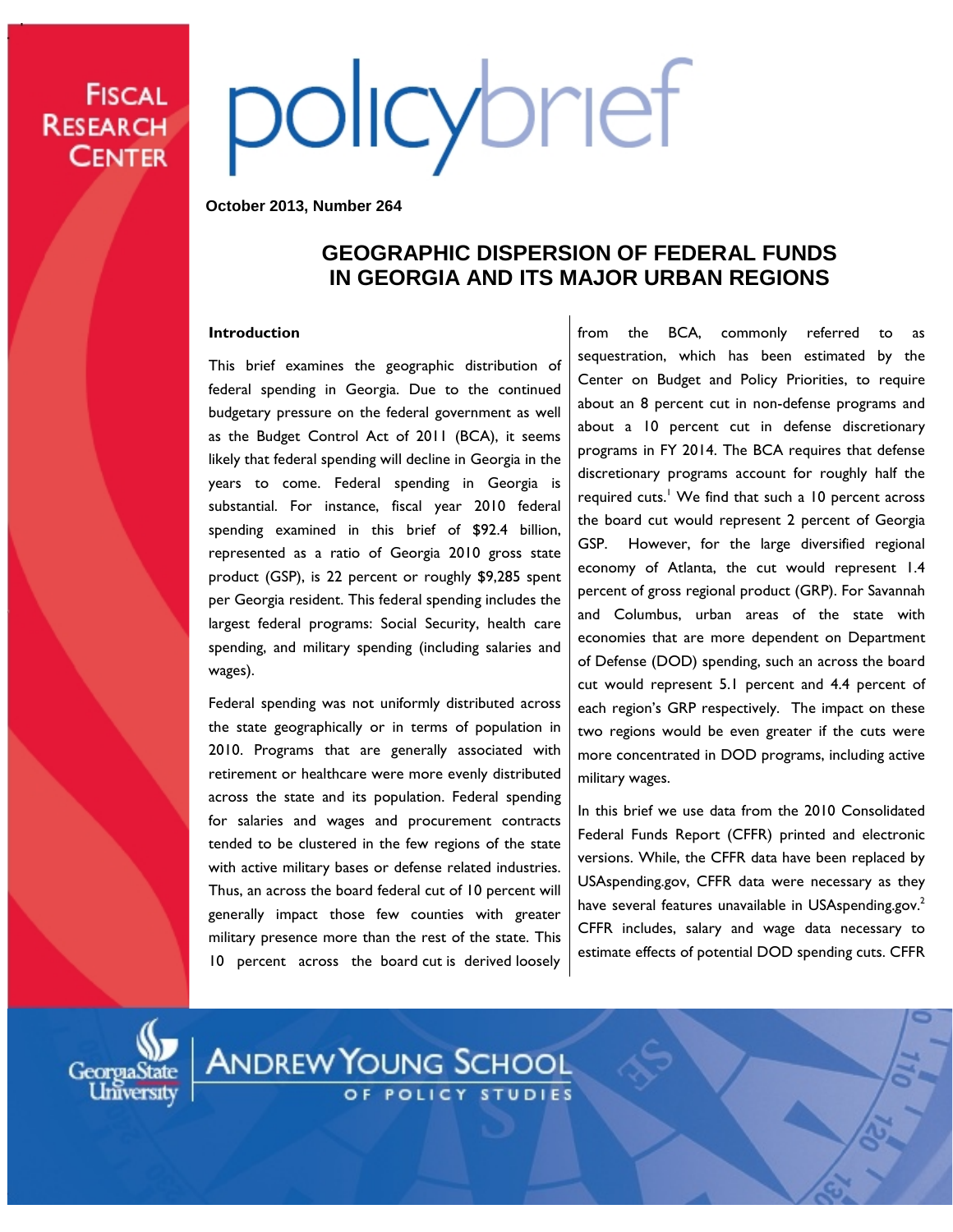# **FISCAL RESEARCH CENTER**

# policybrief

**October 2013, Number 264**

# **GEOGRAPHIC DISPERSION OF FEDERAL FUNDS IN GEORGIA AND ITS MAJOR URBAN REGIONS**

### **Introduction**

This brief examines the geographic distribution of federal spending in Georgia. Due to the continued budgetary pressure on the federal government as well as the Budget Control Act of 2011 (BCA), it seems likely that federal spending will decline in Georgia in the years to come. Federal spending in Georgia is substantial. For instance, fiscal year 2010 federal spending examined in this brief of \$92.4 billion, represented as a ratio of Georgia 2010 gross state product (GSP), is 22 percent or roughly \$9,285 spent per Georgia resident. This federal spending includes the largest federal programs: Social Security, health care spending, and military spending (including salaries and wages).

Federal spending was not uniformly distributed across the state geographically or in terms of population in 2010. Programs that are generally associated with retirement or healthcare were more evenly distributed across the state and its population. Federal spending for salaries and wages and procurement contracts tended to be clustered in the few regions of the state with active military bases or defense related industries. Thus, an across the board federal cut of 10 percent will generally impact those few counties with greater military presence more than the rest of the state. This 10 percent across the board cut is derived loosely from the BCA, commonly referred to as sequestration, which has been estimated by the Center on Budget and Policy Priorities, to require about an 8 percent cut in non-defense programs and about a 10 percent cut in defense discretionary programs in FY 2014. The BCA requires that defense discretionary programs account for roughly half the required cuts.<sup>1</sup> We find that such a 10 percent across the board cut would represent 2 percent of Georgia GSP. However, for the large diversified regional economy of Atlanta, the cut would represent 1.4 percent of gross regional product (GRP). For Savannah and Columbus, urban areas of the state with economies that are more dependent on Department of Defense (DOD) spending, such an across the board cut would represent 5.1 percent and 4.4 percent of each region's GRP respectively. The impact on these two regions would be even greater if the cuts were more concentrated in DOD programs, including active military wages.

In this brief we use data from the 2010 Consolidated Federal Funds Report (CFFR) printed and electronic versions. While, the CFFR data have been replaced by [USAspending.gov,](http://usaspending.gov/) CFFR data were necessary as they have several features unavailable in USAspending.gov.<sup>2</sup> CFFR includes, salary and wage data necessary to estimate effects of potential DOD spending cuts. CFFR



**ANDREW YOUNG SCHOOL**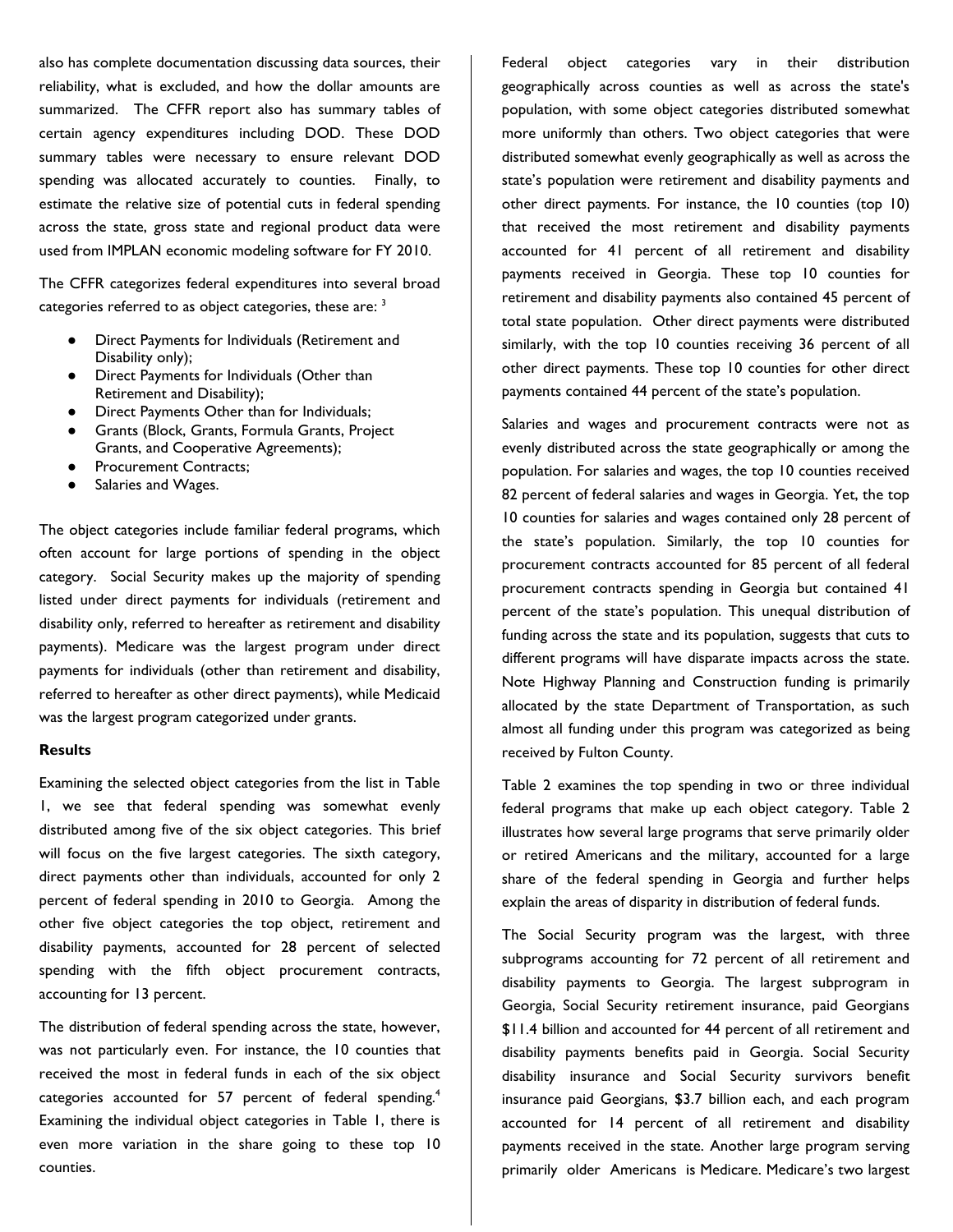also has complete documentation discussing data sources, their reliability, what is excluded, and how the dollar amounts are summarized. The CFFR report also has summary tables of certain agency expenditures including DOD. These DOD summary tables were necessary to ensure relevant DOD spending was allocated accurately to counties. Finally, to estimate the relative size of potential cuts in federal spending across the state, gross state and regional product data were used from IMPLAN economic modeling software for FY 2010.

The CFFR categorizes federal expenditures into several broad categories referred to as object categories, these are: <sup>3</sup>

- Direct Payments for Individuals (Retirement and Disability only);
- Direct Payments for Individuals (Other than Retirement and Disability);
- Direct Payments Other than for Individuals;
- Grants (Block, Grants, Formula Grants, Project Grants, and Cooperative Agreements);
- Procurement Contracts;
- Salaries and Wages.

The object categories include familiar federal programs, which often account for large portions of spending in the object category. Social Security makes up the majority of spending listed under direct payments for individuals (retirement and disability only, referred to hereafter as retirement and disability payments). Medicare was the largest program under direct payments for individuals (other than retirement and disability, referred to hereafter as other direct payments), while Medicaid was the largest program categorized under grants.

### **Results**

Examining the selected object categories from the list in Table 1, we see that federal spending was somewhat evenly distributed among five of the six object categories. This brief will focus on the five largest categories. The sixth category, direct payments other than individuals, accounted for only 2 percent of federal spending in 2010 to Georgia. Among the other five object categories the top object, retirement and disability payments, accounted for 28 percent of selected spending with the fifth object procurement contracts, accounting for 13 percent.

The distribution of federal spending across the state, however, was not particularly even. For instance, the 10 counties that received the most in federal funds in each of the six object categories accounted for 57 percent of federal spending.<sup>4</sup> Examining the individual object categories in Table 1, there is even more variation in the share going to these top 10 counties.

Federal object categories vary in their distribution geographically across counties as well as across the state's population, with some object categories distributed somewhat more uniformly than others. Two object categories that were distributed somewhat evenly geographically as well as across the state's population were retirement and disability payments and other direct payments. For instance, the 10 counties (top 10) that received the most retirement and disability payments accounted for 41 percent of all retirement and disability payments received in Georgia. These top 10 counties for retirement and disability payments also contained 45 percent of total state population. Other direct payments were distributed similarly, with the top 10 counties receiving 36 percent of all other direct payments. These top 10 counties for other direct payments contained 44 percent of the state's population.

Salaries and wages and procurement contracts were not as evenly distributed across the state geographically or among the population. For salaries and wages, the top 10 counties received 82 percent of federal salaries and wages in Georgia. Yet, the top 10 counties for salaries and wages contained only 28 percent of the state's population. Similarly, the top 10 counties for procurement contracts accounted for 85 percent of all federal procurement contracts spending in Georgia but contained 41 percent of the state's population. This unequal distribution of funding across the state and its population, suggests that cuts to different programs will have disparate impacts across the state. Note Highway Planning and Construction funding is primarily allocated by the state Department of Transportation, as such almost all funding under this program was categorized as being received by Fulton County.

Table 2 examines the top spending in two or three individual federal programs that make up each object category. Table 2 illustrates how several large programs that serve primarily older or retired Americans and the military, accounted for a large share of the federal spending in Georgia and further helps explain the areas of disparity in distribution of federal funds.

The Social Security program was the largest, with three subprograms accounting for 72 percent of all retirement and disability payments to Georgia. The largest subprogram in Georgia, Social Security retirement insurance, paid Georgians \$11.4 billion and accounted for 44 percent of all retirement and disability payments benefits paid in Georgia. Social Security disability insurance and Social Security survivors benefit insurance paid Georgians, \$3.7 billion each, and each program accounted for 14 percent of all retirement and disability payments received in the state. Another large program serving primarily older Americans is Medicare. Medicare's two largest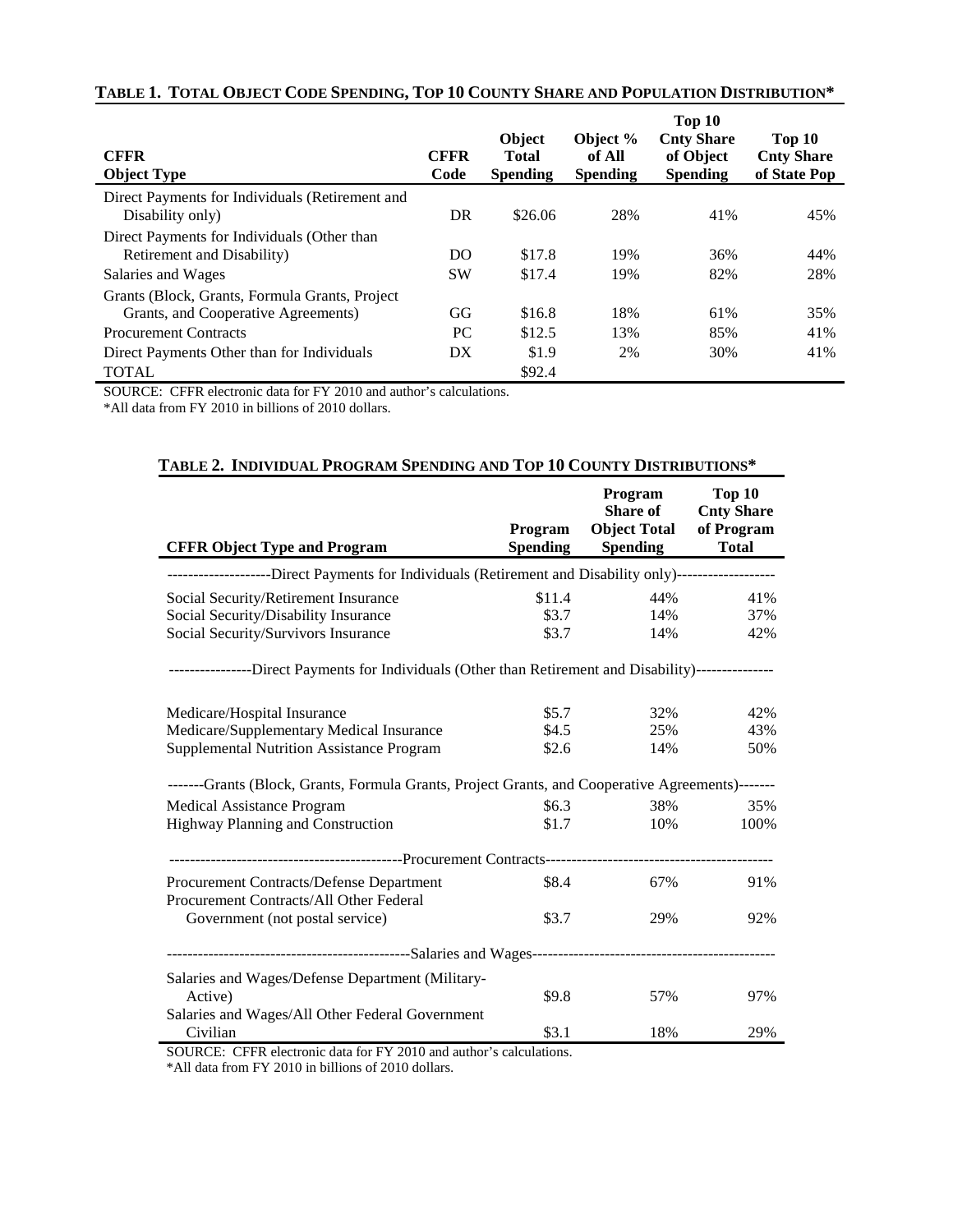| <b>CFFR</b><br><b>Object Type</b>                                                     | <b>CFFR</b><br>Code | Object<br><b>Total</b><br><b>Spending</b> | Object %<br>of All<br><b>Spending</b> | Top 10<br><b>Cnty Share</b><br>of Object<br><b>Spending</b> | Top 10<br><b>Cnty Share</b><br>of State Pop |
|---------------------------------------------------------------------------------------|---------------------|-------------------------------------------|---------------------------------------|-------------------------------------------------------------|---------------------------------------------|
| Direct Payments for Individuals (Retirement and<br>Disability only)                   | DR                  | \$26.06                                   | 28%                                   | 41%                                                         | 45%                                         |
| Direct Payments for Individuals (Other than<br>Retirement and Disability)             | DO                  | \$17.8                                    | 19%                                   | 36%                                                         | 44%                                         |
| Salaries and Wages                                                                    | <b>SW</b>           | \$17.4                                    | 19%                                   | 82%                                                         | 28%                                         |
| Grants (Block, Grants, Formula Grants, Project<br>Grants, and Cooperative Agreements) | GG                  | \$16.8                                    | 18%                                   | 61%                                                         | 35%                                         |
| <b>Procurement Contracts</b>                                                          | PC.                 | \$12.5                                    | 13%                                   | 85%                                                         | 41%                                         |
| Direct Payments Other than for Individuals                                            | DX                  | \$1.9                                     | 2%                                    | 30%                                                         | 41%                                         |
| <b>TOTAL</b>                                                                          |                     | \$92.4                                    |                                       |                                                             |                                             |

### **TABLE 1. TOTAL OBJECT CODE SPENDING, TOP 10 COUNTY SHARE AND POPULATION DISTRIBUTION\***

SOURCE: CFFR electronic data for FY 2010 and author's calculations.

\*All data from FY 2010 in billions of 2010 dollars.

| $\Delta \mathbf{D}$ . The property is a constant of equal to $\Delta \mathbf{D}$ and $\Delta \mathbf{D}$ and $\Delta \mathbf{D}$ and $\Delta \mathbf{D}$ |                            |                                                               |                                                           |  |  |
|----------------------------------------------------------------------------------------------------------------------------------------------------------|----------------------------|---------------------------------------------------------------|-----------------------------------------------------------|--|--|
| <b>CFFR Object Type and Program</b>                                                                                                                      | Program<br><b>Spending</b> | Program<br><b>Share of</b><br><b>Object Total</b><br>Spending | Top 10<br><b>Cnty Share</b><br>of Program<br><b>Total</b> |  |  |
| --------------------Direct Payments for Individuals (Retirement and Disability only)-------------------                                                  |                            |                                                               |                                                           |  |  |
| Social Security/Retirement Insurance                                                                                                                     | \$11.4                     | 44%                                                           | 41%                                                       |  |  |
| Social Security/Disability Insurance                                                                                                                     | \$3.7                      | 14%                                                           | 37%                                                       |  |  |
| Social Security/Survivors Insurance                                                                                                                      | \$3.7                      | 14%                                                           | 42%                                                       |  |  |
| ---------------Direct Payments for Individuals (Other than Retirement and Disability)---------------                                                     |                            |                                                               |                                                           |  |  |
| Medicare/Hospital Insurance                                                                                                                              | \$5.7                      | 32%                                                           | 42%                                                       |  |  |
| Medicare/Supplementary Medical Insurance                                                                                                                 | \$4.5                      | 25%                                                           | 43%                                                       |  |  |
| Supplemental Nutrition Assistance Program                                                                                                                | \$2.6                      | 14%                                                           | 50%                                                       |  |  |
| -------Grants (Block, Grants, Formula Grants, Project Grants, and Cooperative Agreements)-------                                                         |                            |                                                               |                                                           |  |  |
| Medical Assistance Program                                                                                                                               | \$6.3\$                    | 38%                                                           | 35%                                                       |  |  |
| Highway Planning and Construction                                                                                                                        | \$1.7                      | 10%                                                           | 100%                                                      |  |  |
|                                                                                                                                                          |                            |                                                               |                                                           |  |  |
| Procurement Contracts/Defense Department<br>Procurement Contracts/All Other Federal                                                                      | \$8.4                      | 67%                                                           | 91%                                                       |  |  |
| Government (not postal service)                                                                                                                          | \$3.7                      | 29%                                                           | 92%                                                       |  |  |
|                                                                                                                                                          |                            |                                                               |                                                           |  |  |
| Salaries and Wages/Defense Department (Military-                                                                                                         |                            |                                                               |                                                           |  |  |
| Active)                                                                                                                                                  | \$9.8                      | 57%                                                           | 97%                                                       |  |  |
| Salaries and Wages/All Other Federal Government                                                                                                          |                            |                                                               |                                                           |  |  |
| Civilian                                                                                                                                                 | \$3.1                      | 18%                                                           | 29%                                                       |  |  |

**TABLE 2. INDIVIDUAL PROGRAM SPENDING AND TOP 10 COUNTY DISTRIBUTIONS\***

SOURCE: CFFR electronic data for FY 2010 and author's calculations.

\*All data from FY 2010 in billions of 2010 dollars.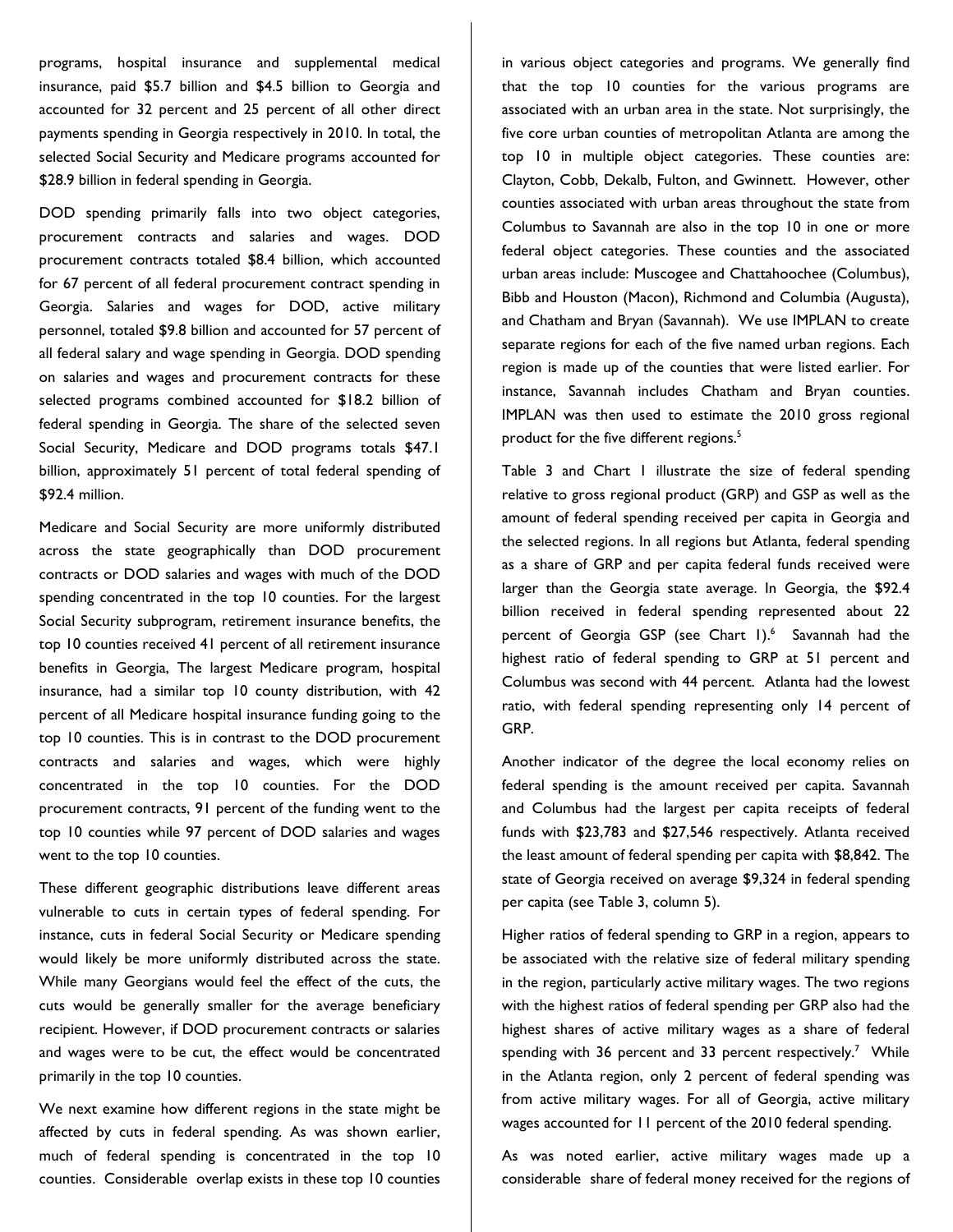programs, hospital insurance and supplemental medical insurance, paid \$5.7 billion and \$4.5 billion to Georgia and accounted for 32 percent and 25 percent of all other direct payments spending in Georgia respectively in 2010. In total, the selected Social Security and Medicare programs accounted for \$28.9 billion in federal spending in Georgia.

DOD spending primarily falls into two object categories, procurement contracts and salaries and wages. DOD procurement contracts totaled \$8.4 billion, which accounted for 67 percent of all federal procurement contract spending in Georgia. Salaries and wages for DOD, active military personnel, totaled \$9.8 billion and accounted for 57 percent of all federal salary and wage spending in Georgia. DOD spending on salaries and wages and procurement contracts for these selected programs combined accounted for \$18.2 billion of federal spending in Georgia. The share of the selected seven Social Security, Medicare and DOD programs totals \$47.1 billion, approximately 51 percent of total federal spending of \$92.4 million.

Medicare and Social Security are more uniformly distributed across the state geographically than DOD procurement contracts or DOD salaries and wages with much of the DOD spending concentrated in the top 10 counties. For the largest Social Security subprogram, retirement insurance benefits, the top 10 counties received 41 percent of all retirement insurance benefits in Georgia, The largest Medicare program, hospital insurance, had a similar top 10 county distribution, with 42 percent of all Medicare hospital insurance funding going to the top 10 counties. This is in contrast to the DOD procurement contracts and salaries and wages, which were highly concentrated in the top 10 counties. For the DOD procurement contracts, 91 percent of the funding went to the top 10 counties while 97 percent of DOD salaries and wages went to the top 10 counties.

These different geographic distributions leave different areas vulnerable to cuts in certain types of federal spending. For instance, cuts in federal Social Security or Medicare spending would likely be more uniformly distributed across the state. While many Georgians would feel the effect of the cuts, the cuts would be generally smaller for the average beneficiary recipient. However, if DOD procurement contracts or salaries and wages were to be cut, the effect would be concentrated primarily in the top 10 counties.

We next examine how different regions in the state might be affected by cuts in federal spending. As was shown earlier, much of federal spending is concentrated in the top 10 counties. Considerable overlap exists in these top 10 counties

in various object categories and programs. We generally find that the top 10 counties for the various programs are associated with an urban area in the state. Not surprisingly, the five core urban counties of metropolitan Atlanta are among the top 10 in multiple object categories. These counties are: Clayton, Cobb, Dekalb, Fulton, and Gwinnett. However, other counties associated with urban areas throughout the state from Columbus to Savannah are also in the top 10 in one or more federal object categories. These counties and the associated urban areas include: Muscogee and Chattahoochee (Columbus), Bibb and Houston (Macon), Richmond and Columbia (Augusta), and Chatham and Bryan (Savannah). We use IMPLAN to create separate regions for each of the five named urban regions. Each region is made up of the counties that were listed earlier. For instance, Savannah includes Chatham and Bryan counties. IMPLAN was then used to estimate the 2010 gross regional product for the five different regions.<sup>5</sup>

Table 3 and Chart 1 illustrate the size of federal spending relative to gross regional product (GRP) and GSP as well as the amount of federal spending received per capita in Georgia and the selected regions. In all regions but Atlanta, federal spending as a share of GRP and per capita federal funds received were larger than the Georgia state average. In Georgia, the \$92.4 billion received in federal spending represented about 22 percent of Georgia GSP (see Chart 1).<sup>6</sup> Savannah had the highest ratio of federal spending to GRP at 51 percent and Columbus was second with 44 percent. Atlanta had the lowest ratio, with federal spending representing only 14 percent of GRP.

Another indicator of the degree the local economy relies on federal spending is the amount received per capita. Savannah and Columbus had the largest per capita receipts of federal funds with \$23,783 and \$27,546 respectively. Atlanta received the least amount of federal spending per capita with \$8,842. The state of Georgia received on average \$9,324 in federal spending per capita (see Table 3, column 5).

Higher ratios of federal spending to GRP in a region, appears to be associated with the relative size of federal military spending in the region, particularly active military wages. The two regions with the highest ratios of federal spending per GRP also had the highest shares of active military wages as a share of federal spending with 36 percent and 33 percent respectively.<sup>7</sup> While in the Atlanta region, only 2 percent of federal spending was from active military wages. For all of Georgia, active military wages accounted for 11 percent of the 2010 federal spending.

As was noted earlier, active military wages made up a considerable share of federal money received for the regions of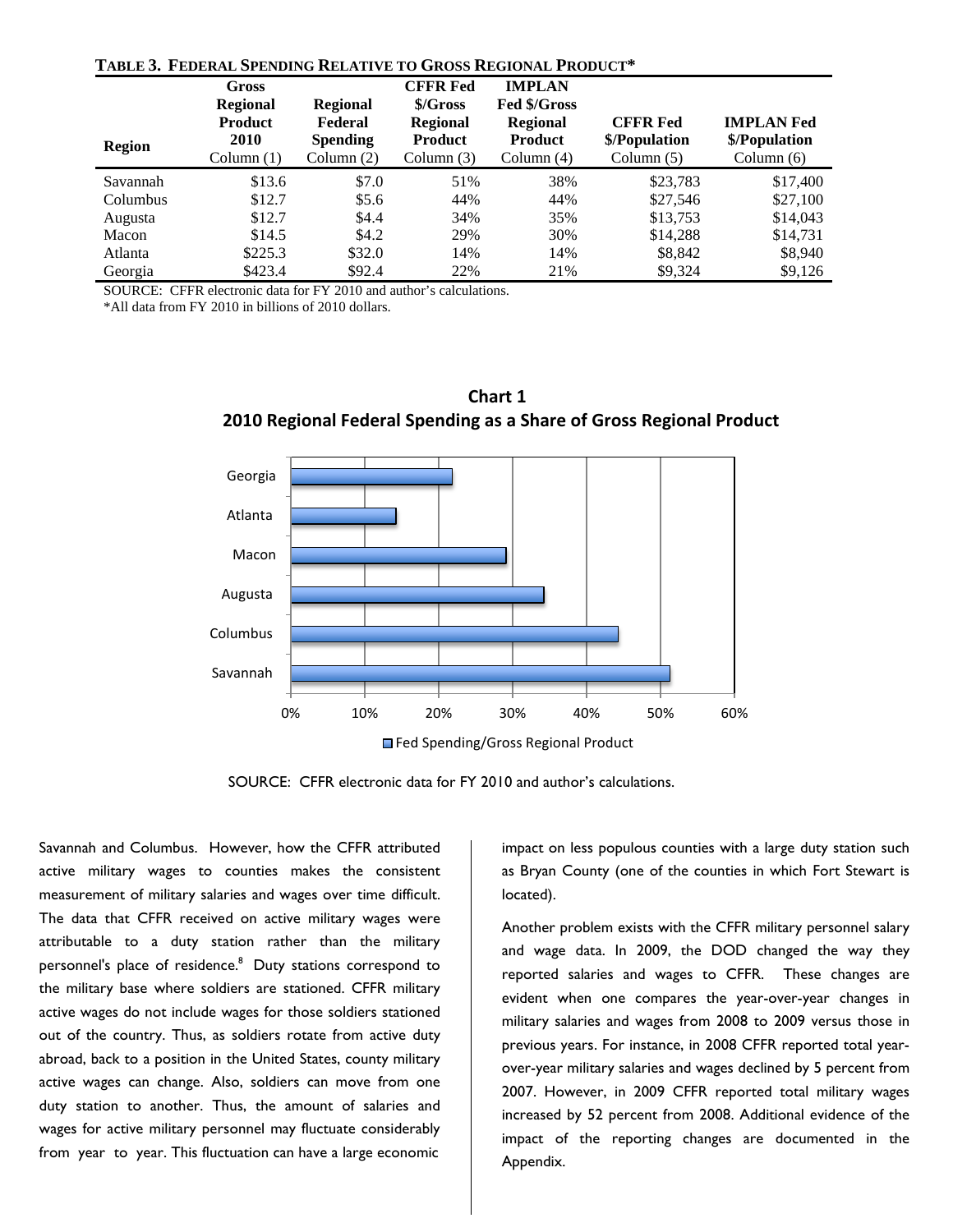| TABLE 3. FEDERAL SPENDING RELATIVE TO GROSS REGIONAL PRODUCT* |                                                                           |                                                               |                                                                                  |                                                                                    |                                                  |                                                    |
|---------------------------------------------------------------|---------------------------------------------------------------------------|---------------------------------------------------------------|----------------------------------------------------------------------------------|------------------------------------------------------------------------------------|--------------------------------------------------|----------------------------------------------------|
| <b>Region</b>                                                 | Gross<br><b>Regional</b><br><b>Product</b><br><b>2010</b><br>Column $(1)$ | <b>Regional</b><br>Federal<br><b>Spending</b><br>Column $(2)$ | <b>CFFR Fed</b><br>\$/Gross<br><b>Regional</b><br><b>Product</b><br>Column $(3)$ | <b>IMPLAN</b><br>Fed \$/Gross<br><b>Regional</b><br><b>Product</b><br>Column $(4)$ | <b>CFFR Fed</b><br>\$/Population<br>Column $(5)$ | <b>IMPLAN Fed</b><br>\$/Population<br>Column $(6)$ |
| Savannah                                                      | \$13.6                                                                    | \$7.0                                                         | 51%                                                                              | 38%                                                                                | \$23,783                                         | \$17,400                                           |
| Columbus                                                      | \$12.7                                                                    | \$5.6\$                                                       | 44%                                                                              | 44%                                                                                | \$27,546                                         | \$27,100                                           |
| Augusta                                                       | \$12.7                                                                    | \$4.4                                                         | 34%                                                                              | 35%                                                                                | \$13,753                                         | \$14,043                                           |
| Macon                                                         | \$14.5                                                                    | \$4.2\$                                                       | 29%                                                                              | 30%                                                                                | \$14,288                                         | \$14,731                                           |
| Atlanta                                                       | \$225.3                                                                   | \$32.0                                                        | 14%                                                                              | 14%                                                                                | \$8,842                                          | \$8,940                                            |
| Georgia                                                       | \$423.4                                                                   | \$92.4                                                        | 22%                                                                              | 21%                                                                                | \$9.324                                          | \$9,126                                            |

### **TABLE 3. FEDERAL SPENDING RELATIVE TO GROSS REGIONAL PRODUCT\***

SOURCE: CFFR electronic data for FY 2010 and author's calculations.

\*All data from FY 2010 in billions of 2010 dollars.



**Chart 1 2010 Regional Federal Spending as a Share of Gross Regional Product**

SOURCE: CFFR electronic data for FY 2010 and author's calculations.

Savannah and Columbus. However, how the CFFR attributed active military wages to counties makes the consistent measurement of military salaries and wages over time difficult. The data that CFFR received on active military wages were attributable to a duty station rather than the military personnel's place of residence.<sup>8</sup> Duty stations correspond to the military base where soldiers are stationed. CFFR military active wages do not include wages for those soldiers stationed out of the country. Thus, as soldiers rotate from active duty abroad, back to a position in the United States, county military active wages can change. Also, soldiers can move from one duty station to another. Thus, the amount of salaries and wages for active military personnel may fluctuate considerably from year to year. This fluctuation can have a large economic

impact on less populous counties with a large duty station such as Bryan County (one of the counties in which Fort Stewart is located).

Another problem exists with the CFFR military personnel salary and wage data. In 2009, the DOD changed the way they reported salaries and wages to CFFR. These changes are evident when one compares the year-over-year changes in military salaries and wages from 2008 to 2009 versus those in previous years. For instance, in 2008 CFFR reported total yearover-year military salaries and wages declined by 5 percent from 2007. However, in 2009 CFFR reported total military wages increased by 52 percent from 2008. Additional evidence of the impact of the reporting changes are documented in the Appendix.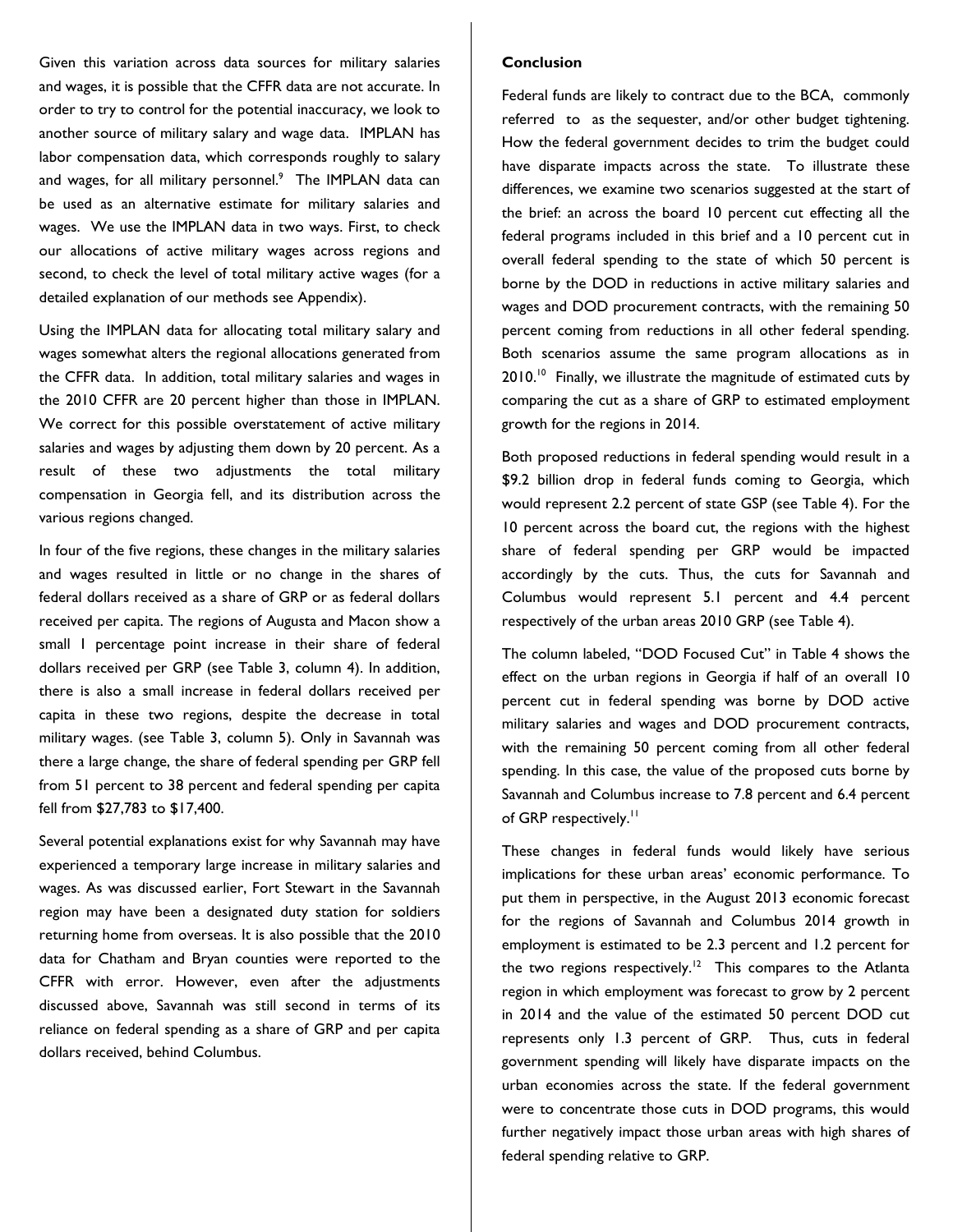Given this variation across data sources for military salaries and wages, it is possible that the CFFR data are not accurate. In order to try to control for the potential inaccuracy, we look to another source of military salary and wage data. IMPLAN has labor compensation data, which corresponds roughly to salary and wages, for all military personnel.<sup>9</sup> The IMPLAN data can be used as an alternative estimate for military salaries and wages. We use the IMPLAN data in two ways. First, to check our allocations of active military wages across regions and second, to check the level of total military active wages (for a detailed explanation of our methods see Appendix).

Using the IMPLAN data for allocating total military salary and wages somewhat alters the regional allocations generated from the CFFR data. In addition, total military salaries and wages in the 2010 CFFR are 20 percent higher than those in IMPLAN. We correct for this possible overstatement of active military salaries and wages by adjusting them down by 20 percent. As a result of these two adjustments the total military compensation in Georgia fell, and its distribution across the various regions changed.

In four of the five regions, these changes in the military salaries and wages resulted in little or no change in the shares of federal dollars received as a share of GRP or as federal dollars received per capita. The regions of Augusta and Macon show a small 1 percentage point increase in their share of federal dollars received per GRP (see Table 3, column 4). In addition, there is also a small increase in federal dollars received per capita in these two regions, despite the decrease in total military wages. (see Table 3, column 5). Only in Savannah was there a large change, the share of federal spending per GRP fell from 51 percent to 38 percent and federal spending per capita fell from \$27,783 to \$17,400.

Several potential explanations exist for why Savannah may have experienced a temporary large increase in military salaries and wages. As was discussed earlier, Fort Stewart in the Savannah region may have been a designated duty station for soldiers returning home from overseas. It is also possible that the 2010 data for Chatham and Bryan counties were reported to the CFFR with error. However, even after the adjustments discussed above, Savannah was still second in terms of its reliance on federal spending as a share of GRP and per capita dollars received, behind Columbus.

### **Conclusion**

Federal funds are likely to contract due to the BCA, commonly referred to as the sequester, and/or other budget tightening. How the federal government decides to trim the budget could have disparate impacts across the state. To illustrate these differences, we examine two scenarios suggested at the start of the brief: an across the board 10 percent cut effecting all the federal programs included in this brief and a 10 percent cut in overall federal spending to the state of which 50 percent is borne by the DOD in reductions in active military salaries and wages and DOD procurement contracts, with the remaining 50 percent coming from reductions in all other federal spending. Both scenarios assume the same program allocations as in 2010.<sup>10</sup> Finally, we illustrate the magnitude of estimated cuts by comparing the cut as a share of GRP to estimated employment growth for the regions in 2014.

Both proposed reductions in federal spending would result in a \$9.2 billion drop in federal funds coming to Georgia, which would represent 2.2 percent of state GSP (see Table 4). For the 10 percent across the board cut, the regions with the highest share of federal spending per GRP would be impacted accordingly by the cuts. Thus, the cuts for Savannah and Columbus would represent 5.1 percent and 4.4 percent respectively of the urban areas 2010 GRP (see Table 4).

The column labeled, "DOD Focused Cut" in Table 4 shows the effect on the urban regions in Georgia if half of an overall 10 percent cut in federal spending was borne by DOD active military salaries and wages and DOD procurement contracts, with the remaining 50 percent coming from all other federal spending. In this case, the value of the proposed cuts borne by Savannah and Columbus increase to 7.8 percent and 6.4 percent of GRP respectively.<sup>11</sup>

These changes in federal funds would likely have serious implications for these urban areas' economic performance. To put them in perspective, in the August 2013 economic forecast for the regions of Savannah and Columbus 2014 growth in employment is estimated to be 2.3 percent and 1.2 percent for the two regions respectively.<sup>12</sup> This compares to the Atlanta region in which employment was forecast to grow by 2 percent in 2014 and the value of the estimated 50 percent DOD cut represents only 1.3 percent of GRP. Thus, cuts in federal government spending will likely have disparate impacts on the urban economies across the state. If the federal government were to concentrate those cuts in DOD programs, this would further negatively impact those urban areas with high shares of federal spending relative to GRP.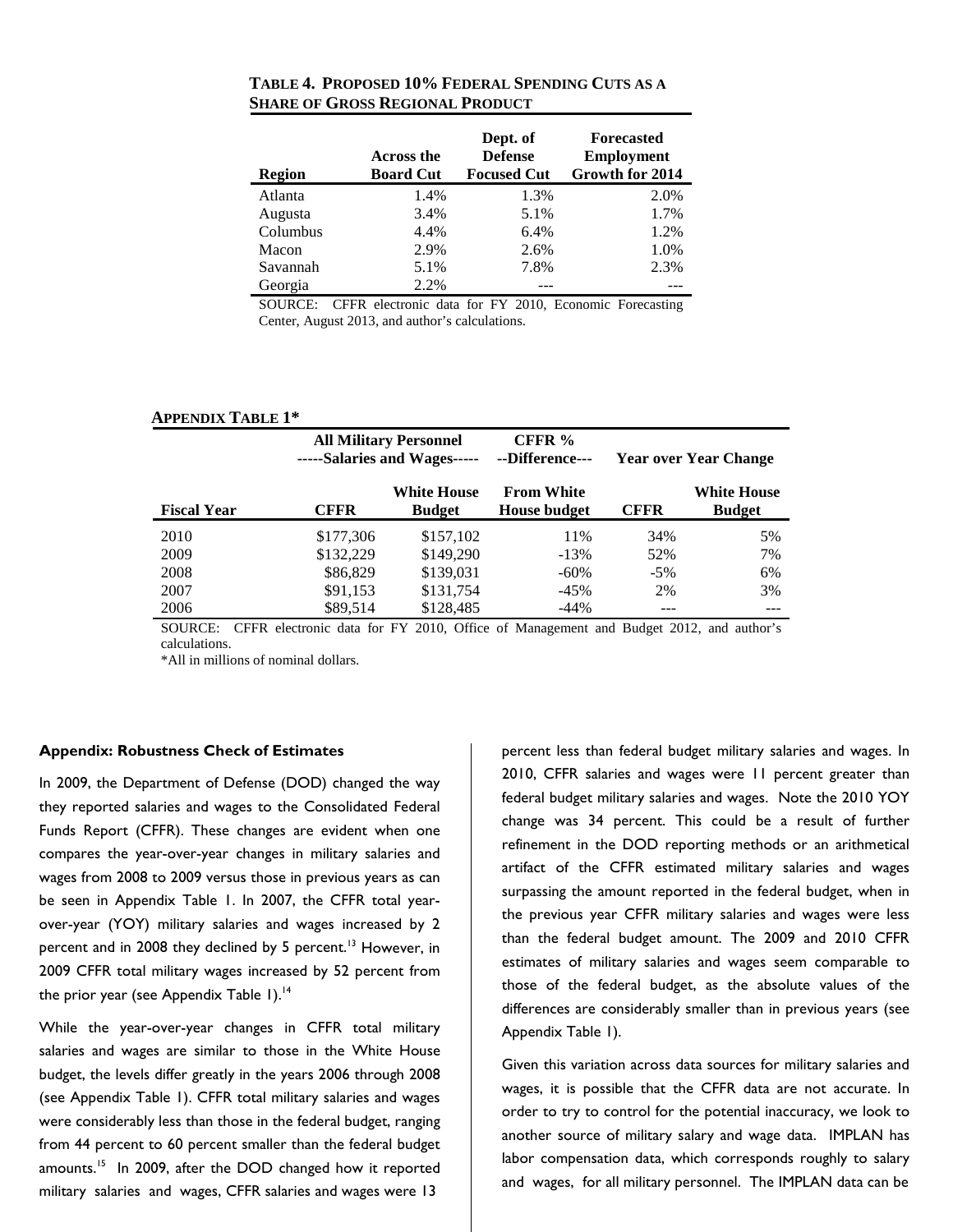| <b>Region</b> | Across the<br><b>Board Cut</b> | Dept. of<br><b>Defense</b><br><b>Focused Cut</b> | <b>Forecasted</b><br><b>Employment</b><br>Growth for 2014 |
|---------------|--------------------------------|--------------------------------------------------|-----------------------------------------------------------|
| Atlanta       | 1.4%                           | 1.3%                                             | 2.0%                                                      |
| Augusta       | 3.4%                           | 5.1%                                             | 1.7%                                                      |
| Columbus      | 4.4%                           | 6.4%                                             | 1.2%                                                      |
| Macon         | 2.9%                           | 2.6%                                             | 1.0%                                                      |
| Savannah      | 5.1%                           | 7.8%                                             | 2.3%                                                      |
| Georgia       | 2.2%                           |                                                  |                                                           |

**TABLE 4. PROPOSED 10% FEDERAL SPENDING CUTS AS A SHARE OF GROSS REGIONAL PRODUCT**

SOURCE: CFFR electronic data for FY 2010, Economic Forecasting Center, August 2013, and author's calculations.

| <b>APPENDIX TABLE 1*</b> |           |                                                               |                                          |                              |                                     |  |
|--------------------------|-----------|---------------------------------------------------------------|------------------------------------------|------------------------------|-------------------------------------|--|
|                          |           | <b>All Military Personnel</b><br>-----Salaries and Wages----- |                                          | <b>Year over Year Change</b> |                                     |  |
| <b>Fiscal Year</b>       | CFFR      | <b>White House</b><br><b>Budget</b>                           | <b>From White</b><br><b>House budget</b> | <b>CFFR</b>                  | <b>White House</b><br><b>Budget</b> |  |
| 2010                     | \$177,306 | \$157,102                                                     | 11%                                      | 34%                          | 5%                                  |  |
| 2009                     | \$132.229 | \$149,290                                                     | $-13%$                                   | 52%                          | 7%                                  |  |
| 2008                     | \$86,829  | \$139,031                                                     | $-60\%$                                  | $-5%$                        | 6%                                  |  |
| 2007                     | \$91,153  | \$131,754                                                     | $-45%$                                   | 2%                           | 3%                                  |  |
| 2006                     | \$89.514  | \$128,485                                                     | $-44%$                                   |                              |                                     |  |

SOURCE: CFFR electronic data for FY 2010, Office of Management and Budget 2012, and author's calculations.

\*All in millions of nominal dollars.

### **Appendix: Robustness Check of Estimates**

In 2009, the Department of Defense (DOD) changed the way they reported salaries and wages to the Consolidated Federal Funds Report (CFFR). These changes are evident when one compares the year-over-year changes in military salaries and wages from 2008 to 2009 versus those in previous years as can be seen in Appendix Table 1. In 2007, the CFFR total yearover-year (YOY) military salaries and wages increased by 2 percent and in 2008 they declined by 5 percent.<sup>13</sup> However, in 2009 CFFR total military wages increased by 52 percent from the prior year (see Appendix Table 1).<sup>14</sup>

While the year-over-year changes in CFFR total military salaries and wages are similar to those in the White House budget, the levels differ greatly in the years 2006 through 2008 (see Appendix Table 1). CFFR total military salaries and wages were considerably less than those in the federal budget, ranging from 44 percent to 60 percent smaller than the federal budget amounts.<sup>15</sup> In 2009, after the DOD changed how it reported military salaries and wages, CFFR salaries and wages were 13

percent less than federal budget military salaries and wages. In 2010, CFFR salaries and wages were 11 percent greater than federal budget military salaries and wages. Note the 2010 YOY change was 34 percent. This could be a result of further refinement in the DOD reporting methods or an arithmetical artifact of the CFFR estimated military salaries and wages surpassing the amount reported in the federal budget, when in the previous year CFFR military salaries and wages were less than the federal budget amount. The 2009 and 2010 CFFR estimates of military salaries and wages seem comparable to those of the federal budget, as the absolute values of the differences are considerably smaller than in previous years (see Appendix Table 1).

Given this variation across data sources for military salaries and wages, it is possible that the CFFR data are not accurate. In order to try to control for the potential inaccuracy, we look to another source of military salary and wage data. IMPLAN has labor compensation data, which corresponds roughly to salary and wages, for all military personnel. The IMPLAN data can be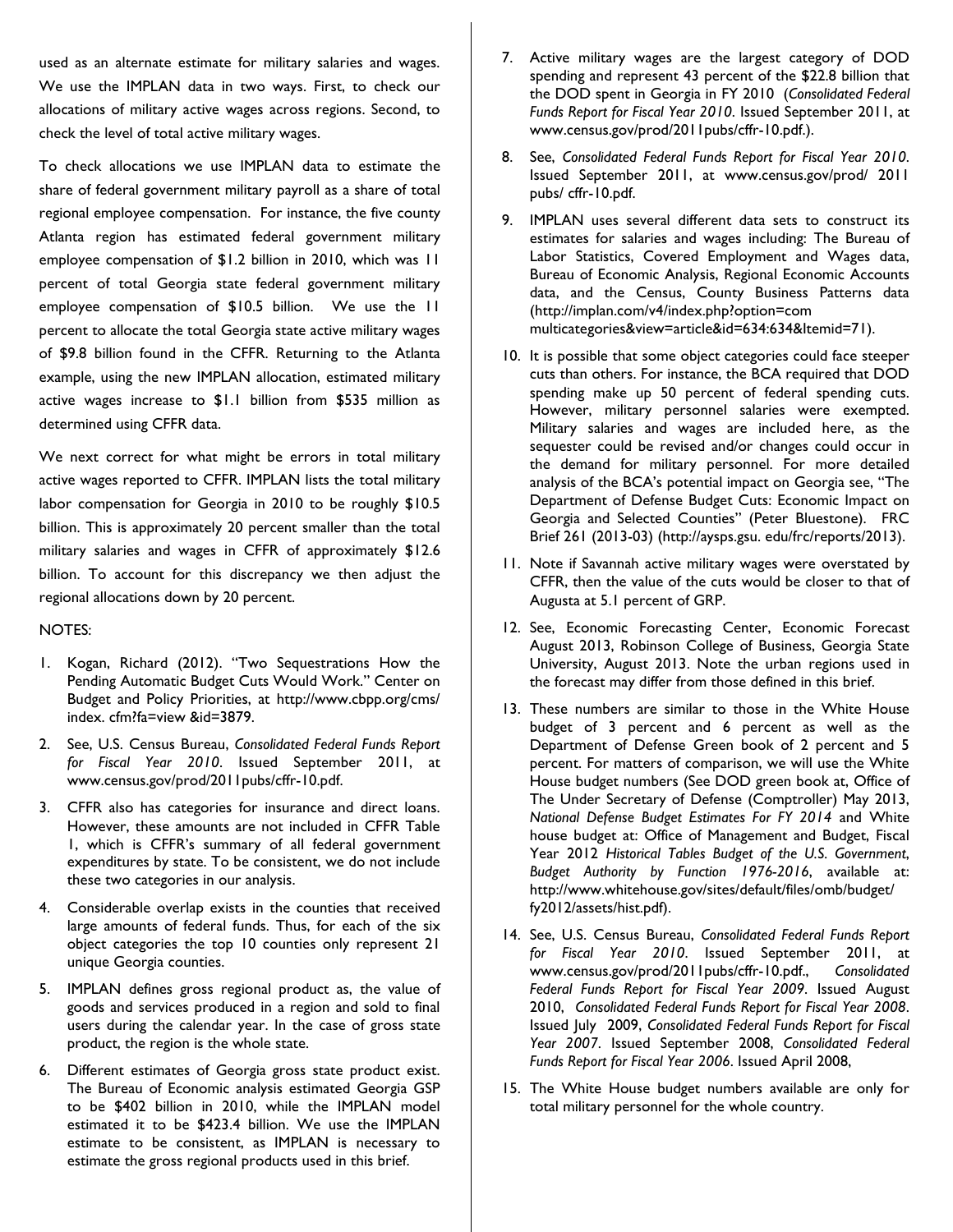used as an alternate estimate for military salaries and wages. We use the IMPLAN data in two ways. First, to check our allocations of military active wages across regions. Second, to check the level of total active military wages.

To check allocations we use IMPLAN data to estimate the share of federal government military payroll as a share of total regional employee compensation. For instance, the five county Atlanta region has estimated federal government military employee compensation of \$1.2 billion in 2010, which was 11 percent of total Georgia state federal government military employee compensation of \$10.5 billion. We use the 11 percent to allocate the total Georgia state active military wages of \$9.8 billion found in the CFFR. Returning to the Atlanta example, using the new IMPLAN allocation, estimated military active wages increase to \$1.1 billion from \$535 million as determined using CFFR data.

We next correct for what might be errors in total military active wages reported to CFFR. IMPLAN lists the total military labor compensation for Georgia in 2010 to be roughly \$10.5 billion. This is approximately 20 percent smaller than the total military salaries and wages in CFFR of approximately \$12.6 billion. To account for this discrepancy we then adjust the regional allocations down by 20 percent.

### NOTES:

- 1. Kogan, Richard (2012). "Two Sequestrations How the Pending Automatic Budget Cuts Would Work." Center on Budget and Policy Priorities, at http://www.cbpp.org/cms/ index. cfm?fa=view &id=3879.
- 2. See, U.S. Census Bureau, *Consolidated Federal Funds Report for Fiscal Year 2010*. Issued September 2011, at www.census.gov/prod/2011pubs/cffr-10.pdf.
- 3. CFFR also has categories for insurance and direct loans. However, these amounts are not included in CFFR Table 1, which is CFFR's summary of all federal government expenditures by state. To be consistent, we do not include these two categories in our analysis.
- 4. Considerable overlap exists in the counties that received large amounts of federal funds. Thus, for each of the six object categories the top 10 counties only represent 21 unique Georgia counties.
- 5. IMPLAN defines gross regional product as, the value of goods and services produced in a region and sold to final users during the calendar year. In the case of gross state product, the region is the whole state.
- 6. Different estimates of Georgia gross state product exist. The Bureau of Economic analysis estimated Georgia GSP to be \$402 billion in 2010, while the IMPLAN model estimated it to be \$423.4 billion. We use the IMPLAN estimate to be consistent, as IMPLAN is necessary to estimate the gross regional products used in this brief.
- 7. Active military wages are the largest category of DOD spending and represent 43 percent of the \$22.8 billion that the DOD spent in Georgia in FY 2010 (*Consolidated Federal Funds Report for Fiscal Year 2010*. Issued September 2011, at www.census.gov/prod/2011pubs/cffr-10.pdf.).
- 8. See, *Consolidated Federal Funds Report for Fiscal Year 2010*. Issued September 2011, at www.census.gov/prod/ 2011 pubs/ cffr-10.pdf.
- 9. IMPLAN uses several different data sets to construct its estimates for salaries and wages including: The Bureau of Labor Statistics, Covered Employment and Wages data, Bureau of Economic Analysis, Regional Economic Accounts data, and the Census, County Business Patterns data (http://implan.com/v4/index.php?option=com multicategories&view=article&id=634:634&Itemid=71).
- 10. It is possible that some object categories could face steeper cuts than others. For instance, the BCA required that DOD spending make up 50 percent of federal spending cuts. However, military personnel salaries were exempted. Military salaries and wages are included here, as the sequester could be revised and/or changes could occur in the demand for military personnel. For more detailed analysis of the BCA's potential impact on Georgia see, "The Department of Defense Budget Cuts: Economic Impact on Georgia and Selected Counties" (Peter Bluestone). FRC Brief 261 (2013-03) (http://aysps.gsu. edu/frc/reports/2013).
- 11. Note if Savannah active military wages were overstated by CFFR, then the value of the cuts would be closer to that of Augusta at 5.1 percent of GRP.
- 12. See, Economic Forecasting Center, Economic Forecast August 2013, Robinson College of Business, Georgia State University, August 2013. Note the urban regions used in the forecast may differ from those defined in this brief.
- 13. These numbers are similar to those in the White House budget of 3 percent and 6 percent as well as the Department of Defense Green book of 2 percent and 5 percent. For matters of comparison, we will use the White House budget numbers (See DOD green book at, Office of The Under Secretary of Defense (Comptroller) May 2013, *National Defense Budget Estimates For FY 2014* and White house budget at: Office of Management and Budget, Fiscal Year 2012 *Historical Tables Budget of the U.S. Government*, *Budget Authority by Function 1976-2016*, available at: http://www.whitehouse.gov/sites/default/files/omb/budget/ fy2012/assets/hist.pdf).
- 14. See, U.S. Census Bureau, *Consolidated Federal Funds Report for Fiscal Year 2010*. Issued September 2011, at www.census.gov/prod/2011pubs/cffr-10.pdf., *Consolidated Federal Funds Report for Fiscal Year 2009*. Issued August 2010, *Consolidated Federal Funds Report for Fiscal Year 2008*. Issued July 2009, *Consolidated Federal Funds Report for Fiscal Year 2007*. Issued September 2008, *Consolidated Federal Funds Report for Fiscal Year 2006*. Issued April 2008,
- 15. The White House budget numbers available are only for total military personnel for the whole country.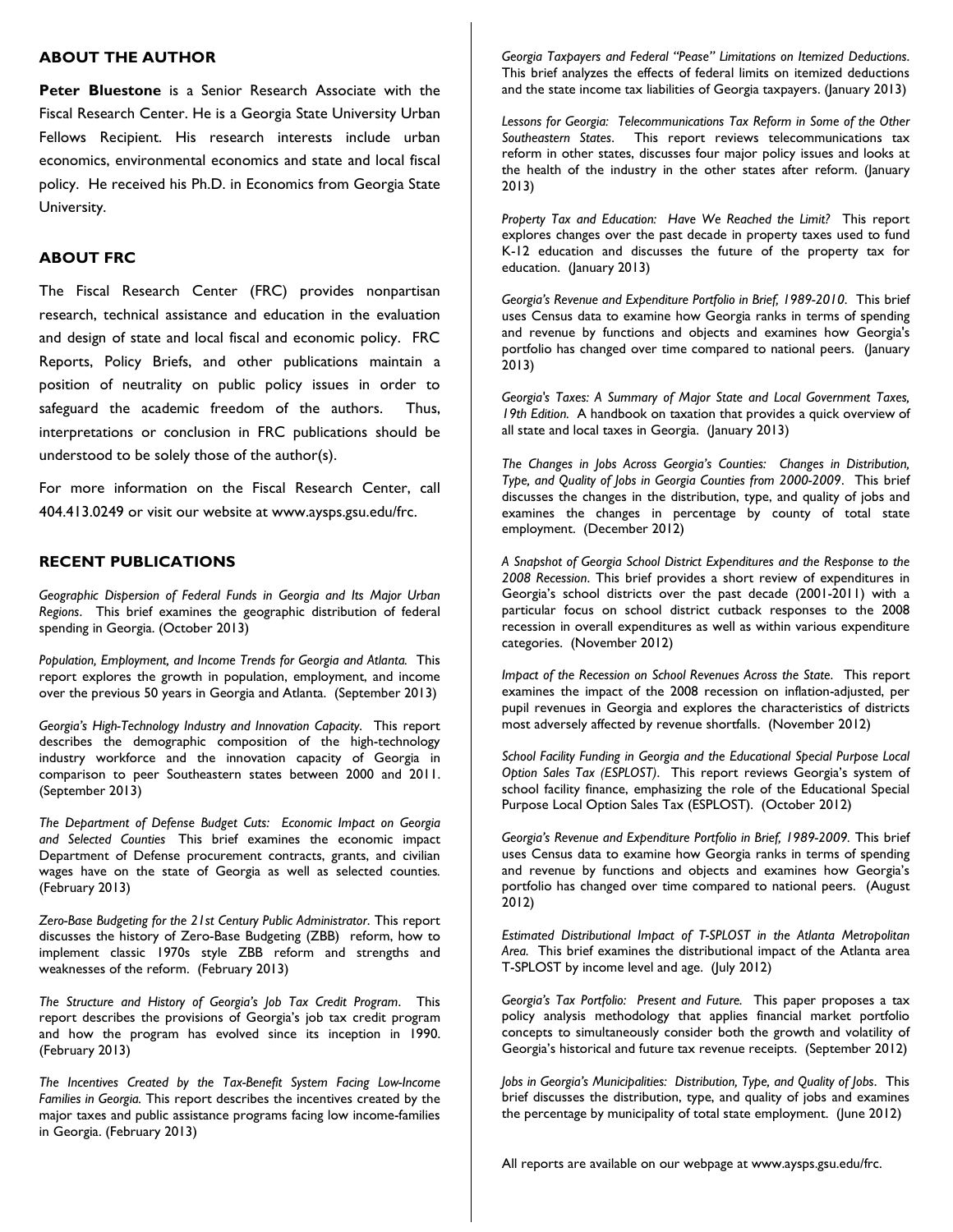### **ABOUT THE AUTHOR**

**Peter Bluestone** is a Senior Research Associate with the Fiscal Research Center. He is a Georgia State University Urban Fellows Recipient. His research interests include urban economics, environmental economics and state and local fiscal policy. He received his Ph.D. in Economics from Georgia State University.

### **ABOUT FRC**

The Fiscal Research Center (FRC) provides nonpartisan research, technical assistance and education in the evaluation and design of state and local fiscal and economic policy. FRC Reports, Policy Briefs, and other publications maintain a position of neutrality on public policy issues in order to safeguard the academic freedom of the authors. Thus, interpretations or conclusion in FRC publications should be understood to be solely those of the author(s).

For more information on the Fiscal Research Center, call 404.413.0249 or visit our website at www.aysps.gsu.edu/frc.

### **RECENT PUBLICATIONS**

*Geographic Dispersion of Federal Funds in Georgia and Its Major Urban Regions*. This brief examines the geographic distribution of federal spending in Georgia. (October 2013)

*Population, Employment, and Income Trends for Georgia and Atlanta.* This report explores the growth in population, employment, and income over the previous 50 years in Georgia and Atlanta. (September 2013)

*Georgia's High-Technology Industry and Innovation Capacity*. This report describes the demographic composition of the high-technology industry workforce and the innovation capacity of Georgia in comparison to peer Southeastern states between 2000 and 2011. (September 2013)

*The Department of Defense Budget Cuts: Economic Impact on Georgia and Selected Counties* This brief examines the economic impact Department of Defense procurement contracts, grants, and civilian wages have on the state of Georgia as well as selected counties*.*  (February 2013)

*Zero-Base Budgeting for the 21st Century Public Administrator*. This report discusses the history of Zero-Base Budgeting (ZBB) reform, how to implement classic 1970s style ZBB reform and strengths and weaknesses of the reform. (February 2013)

*The Structure and History of Georgia's Job Tax Credit Program*. This report describes the provisions of Georgia's job tax credit program and how the program has evolved since its inception in 1990. (February 2013)

*The Incentives Created by the Tax-Benefit System Facing Low-Income Families in Georgia.* This report describes the incentives created by the major taxes and public assistance programs facing low income-families in Georgia. (February 2013)

*Georgia Taxpayers and Federal "Pease" Limitations on Itemized Deductions*. This brief analyzes the effects of federal limits on itemized deductions and the state income tax liabilities of Georgia taxpayers. (January 2013)

*Lessons for Georgia: Telecommunications Tax Reform in Some of the Other Southeastern States*. This report reviews telecommunications tax reform in other states, discusses four major policy issues and looks at the health of the industry in the other states after reform. (January 2013)

*Property Tax and Education: Have We Reached the Limit?* This report explores changes over the past decade in property taxes used to fund K-12 education and discusses the future of the property tax for education. (January 2013)

*Georgia's Revenue and Expenditure Portfolio in Brief, 1989-2010*. This brief uses Census data to examine how Georgia ranks in terms of spending and revenue by functions and objects and examines how Georgia's portfolio has changed over time compared to national peers. (January 2013)

*Georgia's Taxes: A Summary of Major State and Local Government Taxes, 19th Edition.* A handbook on taxation that provides a quick overview of all state and local taxes in Georgia. (January 2013)

*The Changes in Jobs Across Georgia's Counties: Changes in Distribution, Type, and Quality of Jobs in Georgia Counties from 2000-2009*. This brief discusses the changes in the distribution, type, and quality of jobs and examines the changes in percentage by county of total state employment. (December 2012)

*A Snapshot of Georgia School District Expenditures and the Response to the 2008 Recession*. This brief provides a short review of expenditures in Georgia's school districts over the past decade (2001-2011) with a particular focus on school district cutback responses to the 2008 recession in overall expenditures as well as within various expenditure categories. (November 2012)

*Impact of the Recession on School Revenues Across the State*. This report examines the impact of the 2008 recession on inflation-adjusted, per pupil revenues in Georgia and explores the characteristics of districts most adversely affected by revenue shortfalls. (November 2012)

*School Facility Funding in Georgia and the Educational Special Purpose Local Option Sales Tax (ESPLOST)*. This report reviews Georgia's system of school facility finance, emphasizing the role of the Educational Special Purpose Local Option Sales Tax (ESPLOST). (October 2012)

*Georgia's Revenue and Expenditure Portfolio in Brief, 1989-2009.* This brief uses Census data to examine how Georgia ranks in terms of spending and revenue by functions and objects and examines how Georgia's portfolio has changed over time compared to national peers. (August 2012)

*Estimated Distributional Impact of T-SPLOST in the Atlanta Metropolitan Area.* This brief examines the distributional impact of the Atlanta area T-SPLOST by income level and age. (July 2012)

*Georgia's Tax Portfolio: Present and Future.* This paper proposes a tax policy analysis methodology that applies financial market portfolio concepts to simultaneously consider both the growth and volatility of Georgia's historical and future tax revenue receipts. (September 2012)

*Jobs in Georgia's Municipalities: Distribution, Type, and Quality of Jobs*. This brief discusses the distribution, type, and quality of jobs and examines the percentage by municipality of total state employment. (June 2012)

All reports are available on our webpage at www.aysps.gsu.edu/frc.